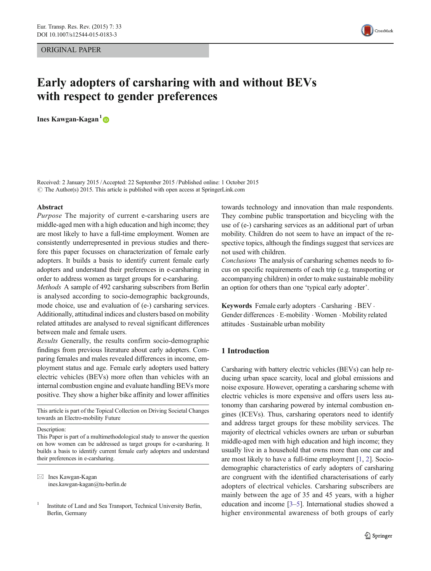ORIGINAL PAPER



# Early adopters of carsharing with and without BEVs with respect to gender preferences

Ines Kawgan-Kagan $<sup>1</sup>$ </sup>

Received: 2 January 2015 /Accepted: 22 September 2015 /Published online: 1 October 2015  $\odot$  The Author(s) 2015. This article is published with open access at SpringerLink.com

#### Abstract

Purpose The majority of current e-carsharing users are middle-aged men with a high education and high income; they are most likely to have a full-time employment. Women are consistently underrepresented in previous studies and therefore this paper focusses on characterization of female early adopters. It builds a basis to identify current female early adopters and understand their preferences in e-carsharing in order to address women as target groups for e-carsharing.

Methods A sample of 492 carsharing subscribers from Berlin is analysed according to socio-demographic backgrounds, mode choice, use and evaluation of (e-) carsharing services. Additionally, attitudinal indices and clusters based on mobility related attitudes are analysed to reveal significant differences between male and female users.

Results Generally, the results confirm socio-demographic findings from previous literature about early adopters. Comparing females and males revealed differences in income, employment status and age. Female early adopters used battery electric vehicles (BEVs) more often than vehicles with an internal combustion engine and evaluate handling BEVs more positive. They show a higher bike affinity and lower affinities

This article is part of the Topical Collection on Driving Societal Changes towards an Electro-mobility Future

Description:

 $\boxtimes$  Ines Kawgan-Kagan ines.kawgan-kagan@tu-berlin.de towards technology and innovation than male respondents. They combine public transportation and bicycling with the use of (e-) carsharing services as an additional part of urban mobility. Children do not seem to have an impact of the respective topics, although the findings suggest that services are not used with children.

Conclusions The analysis of carsharing schemes needs to focus on specific requirements of each trip (e.g. transporting or accompanying children) in order to make sustainable mobility an option for others than one 'typical early adopter'.

Keywords Female early adopters  $\cdot$  Carsharing  $\cdot$  BEV  $\cdot$ Gender differences . E-mobility . Women . Mobility related attitudes . Sustainable urban mobility

## 1 Introduction

Carsharing with battery electric vehicles (BEVs) can help reducing urban space scarcity, local and global emissions and noise exposure. However, operating a carsharing scheme with electric vehicles is more expensive and offers users less autonomy than carsharing powered by internal combustion engines (ICEVs). Thus, carsharing operators need to identify and address target groups for these mobility services. The majority of electrical vehicles owners are urban or suburban middle-aged men with high education and high income; they usually live in a household that owns more than one car and are most likely to have a full-time employment [[1,](#page-9-0) [2\]](#page-9-0). Sociodemographic characteristics of early adopters of carsharing are congruent with the identified characterisations of early adopters of electrical vehicles. Carsharing subscribers are mainly between the age of 35 and 45 years, with a higher education and income [\[3](#page-9-0)–[5\]](#page-9-0). International studies showed a higher environmental awareness of both groups of early

This Paper is part of a multimethodological study to answer the question on how women can be addressed as target groups for e-carsharing. It builds a basis to identify current female early adopters and understand their preferences in e-carsharing.

<sup>1</sup> Institute of Land and Sea Transport, Technical University Berlin, Berlin, Germany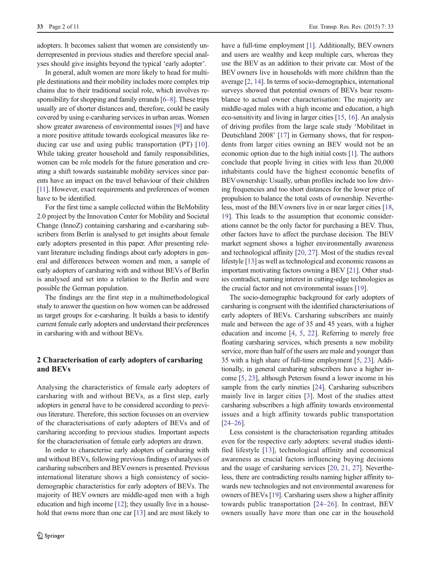<span id="page-1-0"></span>adopters. It becomes salient that women are consistently underrepresented in previous studies and therefore special analyses should give insights beyond the typical 'early adopter'.

In general, adult women are more likely to head for multiple destinations and their mobility includes more complex trip chains due to their traditional social role, which involves responsibility for shopping and family errands [[6](#page-9-0)–[8\]](#page-9-0). These trips usually are of shorter distances and, therefore, could be easily covered by using e-carsharing services in urban areas. Women show greater awareness of environmental issues [\[9](#page-9-0)] and have a more positive attitude towards ecological measures like reducing car use and using public transportation (PT) [\[10](#page-9-0)]. While taking greater household and family responsibilities, women can be role models for the future generation and creating a shift towards sustainable mobility services since parents have an impact on the travel behaviour of their children [\[11\]](#page-9-0). However, exact requirements and preferences of women have to be identified.

For the first time a sample collected within the BeMobility 2.0 project by the Innovation Center for Mobility and Societal Change (InnoZ) containing carsharing and e-carsharing subscribers from Berlin is analysed to get insights about female early adopters presented in this paper. After presenting relevant literature including findings about early adopters in general and differences between women and men, a sample of early adopters of carsharing with and without BEVs of Berlin is analysed and set into a relation to the Berlin and were possible the German population.

The findings are the first step in a multimethodological study to answer the question on how women can be addressed as target groups for e-carsharing. It builds a basis to identify current female early adopters and understand their preferences in carsharing with and without BEVs.

## 2 Characterisation of early adopters of carsharing and BEVs

Analysing the characteristics of female early adopters of carsharing with and without BEVs, as a first step, early adopters in general have to be considered according to previous literature. Therefore, this section focusses on an overview of the characterisations of early adopters of BEVs and of carsharing according to previous studies. Important aspects for the characterisation of female early adopters are drawn.

In order to characterise early adopters of carsharing with and without BEVs, following previous findings of analyses of carsharing subscribers and BEVowners is presented. Previous international literature shows a high consistency of sociodemographic characteristics for early adopters of BEVs. The majority of BEV owners are middle-aged men with a high education and high income [[12\]](#page-9-0); they usually live in a house-hold that owns more than one car [\[13](#page-10-0)] and are most likely to

have a full-time employment [\[1\]](#page-9-0). Additionally, BEV owners and users are wealthy and keep multiple cars, whereas they use the BEV as an addition to their private car. Most of the BEV owners live in households with more children than the average [[2](#page-9-0), [14\]](#page-10-0). In terms of socio-demographics, international surveys showed that potential owners of BEVs bear resemblance to actual owner characterisation: The majority are middle-aged males with a high income and education, a high eco-sensitivity and living in larger cities [\[15](#page-10-0), [16\]](#page-10-0). An analysis of driving profiles from the large scale study 'Mobilitaet in Deutschland 2008' [[17\]](#page-10-0) in Germany shows, that for respondents from larger cities owning an BEV would not be an economic option due to the high initial costs [[1\]](#page-9-0). The authors conclude that people living in cities with less than 20,000 inhabitants could have the highest economic benefits of BEV ownership: Usually, urban profiles include too low driving frequencies and too short distances for the lower price of propulsion to balance the total costs of ownership. Nevertheless, most of the BEV owners live in or near larger cities [[18,](#page-10-0) [19](#page-10-0)]. This leads to the assumption that economic considerations cannot be the only factor for purchasing a BEV. Thus, other factors have to affect the purchase decision. The BEV market segment shows a higher environmentally awareness and technological affinity [\[20,](#page-10-0) [27\]](#page-10-0). Most of the studies reveal lifestyle [\[13\]](#page-10-0) as well as technological and economic reasons as important motivating factors owning a BEV [[21](#page-10-0)]. Other studies contradict, naming interest in cutting-edge technologies as the crucial factor and not environmental issues [\[19](#page-10-0)].

The socio-demographic background for early adopters of carsharing is congruent with the identified characterisations of early adopters of BEVs. Carsharing subscribers are mainly male and between the age of 35 and 45 years, with a higher education and income [[4,](#page-9-0) [5,](#page-9-0) [22](#page-10-0)]. Referring to merely free floating carsharing services, which presents a new mobility service, more than half of the users are male and younger than 35 with a high share of full-time employment [[5,](#page-9-0) [23\]](#page-10-0). Additionally, in general carsharing subscribers have a higher income [\[5](#page-9-0), [23](#page-10-0)], although Petersen found a lower income in his sample from the early nineties [\[24](#page-10-0)]. Carsharing subscribers mainly live in larger cities [[3\]](#page-9-0). Most of the studies attest carsharing subscribers a high affinity towards environmental issues and a high affinity towards public transportation [\[24](#page-10-0)–[26\]](#page-10-0).

Less consistent is the characterisation regarding attitudes even for the respective early adopters: several studies identified lifestyle [[13](#page-10-0)], technological affinity and economical awareness as crucial factors influencing buying decisions and the usage of carsharing services [\[20,](#page-10-0) [21](#page-10-0), [27\]](#page-10-0). Nevertheless, there are contradicting results naming higher affinity towards new technologies and not environmental awareness for owners of BEVs [\[19](#page-10-0)]. Carsharing users show a higher affinity towards public transportation [[24](#page-10-0)–[26](#page-10-0)]. In contrast, BEV owners usually have more than one car in the household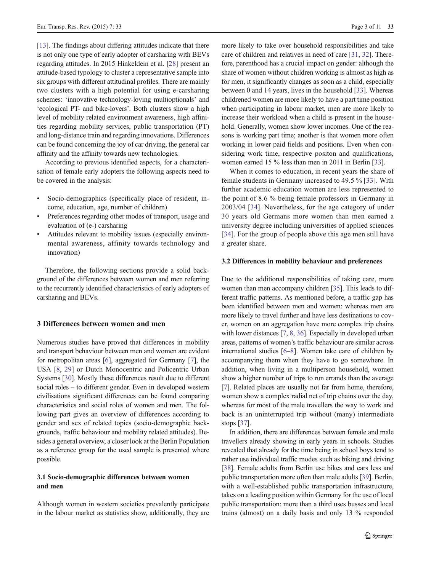<span id="page-2-0"></span>[\[13\]](#page-10-0). The findings about differing attitudes indicate that there is not only one type of early adopter of carsharing with BEVs regarding attitudes. In 2015 Hinkeldein et al. [\[28](#page-10-0)] present an attitude-based typology to cluster a representative sample into six groups with different attitudinal profiles. There are mainly two clusters with a high potential for using e-carsharing schemes: 'innovative technology-loving multioptionals' and 'ecological PT- and bike-lovers'. Both clusters show a high level of mobility related environment awareness, high affinities regarding mobility services, public transportation (PT) and long-distance train and regarding innovations. Differences can be found concerning the joy of car driving, the general car affinity and the affinity towards new technologies.

According to previous identified aspects, for a characterisation of female early adopters the following aspects need to be covered in the analysis:

- & Socio-demographics (specifically place of resident, income, education, age, number of children)
- & Preferences regarding other modes of transport, usage and evaluation of (e-) carsharing
- Attitudes relevant to mobility issues (especially environmental awareness, affinity towards technology and innovation)

Therefore, the following sections provide a solid background of the differences between women and men referring to the recurrently identified characteristics of early adopters of carsharing and BEVs.

### 3 Differences between women and men

Numerous studies have proved that differences in mobility and transport behaviour between men and women are evident for metropolitan areas [\[6](#page-9-0)], aggregated for Germany [\[7](#page-9-0)], the USA [[8,](#page-9-0) [29](#page-10-0)] or Dutch Monocentric and Policentric Urban Systems [\[30\]](#page-10-0). Mostly these differences result due to different social roles – to different gender. Even in developed western civilisations significant differences can be found comparing characteristics and social roles of women and men. The following part gives an overview of differences according to gender and sex of related topics (socio-demographic backgrounds, traffic behaviour and mobility related attitudes). Besides a general overview, a closer look at the Berlin Population as a reference group for the used sample is presented where possible.

## 3.1 Socio-demographic differences between women and men

Although women in western societies prevalently participate in the labour market as statistics show, additionally, they are more likely to take over household responsibilities and take care of children and relatives in need of care [[31](#page-10-0), [32](#page-10-0)]. Therefore, parenthood has a crucial impact on gender: although the share of women without children working is almost as high as for men, it significantly changes as soon as a child, especially between 0 and 14 years, lives in the household [[33](#page-10-0)]. Whereas childrened women are more likely to have a part time position when participating in labour market, men are more likely to increase their workload when a child is present in the household. Generally, women show lower incomes. One of the reasons is working part time; another is that women more often working in lower paid fields and positions. Even when considering work time, respective positon and qualifications, women earned 15 % less than men in 2011 in Berlin [\[33](#page-10-0)].

When it comes to education, in recent years the share of female students in Germany increased to 49.5 % [[33](#page-10-0)]. With further academic education women are less represented to the point of 8.6 % being female professors in Germany in 2003/04 [[34](#page-10-0)]. Nevertheless, for the age category of under 30 years old Germans more women than men earned a university degree including universities of applied sciences [\[34\]](#page-10-0). For the group of people above this age men still have a greater share.

#### 3.2 Differences in mobility behaviour and preferences

Due to the additional responsibilities of taking care, more women than men accompany children [\[35](#page-10-0)]. This leads to different traffic patterns. As mentioned before, a traffic gap has been identified between men and women: whereas men are more likely to travel further and have less destinations to cover, women on an aggregation have more complex trip chains with lower distances [[7,](#page-9-0) [8](#page-9-0), [36\]](#page-10-0). Especially in developed urban areas, patterns of women's traffic behaviour are similar across international studies [[6](#page-9-0)–[8](#page-9-0)]. Women take care of children by accompanying them when they have to go somewhere. In addition, when living in a multiperson household, women show a higher number of trips to run errands than the average [\[7](#page-9-0)]. Related places are usually not far from home, therefore, women show a complex radial net of trip chains over the day, whereas for most of the male travellers the way to work and back is an uninterrupted trip without (many) intermediate stops [[37\]](#page-10-0).

In addition, there are differences between female and male travellers already showing in early years in schools. Studies revealed that already for the time being in school boys tend to rather use individual traffic modes such as biking and driving [\[38](#page-10-0)]. Female adults from Berlin use bikes and cars less and public transportation more often than male adults [\[39](#page-10-0)]. Berlin, with a well-established public transportation infrastructure, takes on a leading position within Germany for the use of local public transportation: more than a third uses busses and local trains (almost) on a daily basis and only 13 % responded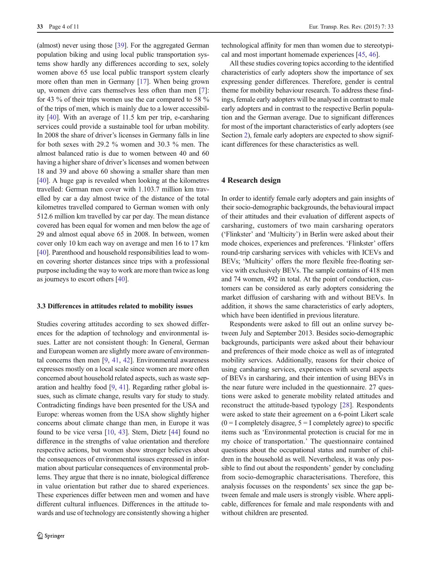<span id="page-3-0"></span>(almost) never using those [\[39\]](#page-10-0). For the aggregated German population biking and using local public transportation systems show hardly any differences according to sex, solely women above 65 use local public transport system clearly more often than men in Germany [\[17\]](#page-10-0). When being grown up, women drive cars themselves less often than men [\[7](#page-9-0)]: for 43 % of their trips women use the car compared to 58 % of the trips of men, which is mainly due to a lower accessibility [\[40\]](#page-10-0). With an average of 11.5 km per trip, e-carsharing services could provide a sustainable tool for urban mobility. In 2008 the share of driver's licenses in Germany falls in line for both sexes with 29.2 % women and 30.3 % men. The almost balanced ratio is due to women between 40 and 60 having a higher share of driver's licenses and women between 18 and 39 and above 60 showing a smaller share than men [\[40\]](#page-10-0). A huge gap is revealed when looking at the kilometres travelled: German men cover with 1.103.7 million km travelled by car a day almost twice of the distance of the total kilometres travelled compared to German women with only 512.6 million km travelled by car per day. The mean distance covered has been equal for women and men below the age of 29 and almost equal above 65 in 2008. In between, women cover only 10 km each way on average and men 16 to 17 km [\[40\]](#page-10-0). Parenthood and household responsibilities lead to women covering shorter distances since trips with a professional purpose including the way to work are more than twice as long as journeys to escort others [[40\]](#page-10-0).

#### 3.3 Differences in attitudes related to mobility issues

Studies covering attitudes according to sex showed differences for the adaption of technology and environmental issues. Latter are not consistent though: In General, German and European women are slightly more aware of environmental concerns then men [\[9](#page-9-0), [41,](#page-10-0) [42\]](#page-10-0). Environmental awareness expresses mostly on a local scale since women are more often concerned about household related aspects, such as waste separation and healthy food [\[9,](#page-9-0) [41](#page-10-0)]. Regarding rather global issues, such as climate change, results vary for study to study. Contradicting findings have been presented for the USA and Europe: whereas women from the USA show slightly higher concerns about climate change than men, in Europe it was found to be vice versa [[10,](#page-9-0) [43](#page-10-0)]. Stern, Dietz [\[44](#page-10-0)] found no difference in the strengths of value orientation and therefore respective actions, but women show stronger believes about the consequences of environmental issues expressed in information about particular consequences of environmental problems. They argue that there is no innate, biological difference in value orientation but rather due to shared experiences. These experiences differ between men and women and have different cultural influences. Differences in the attitude towards and use of technology are consistently showing a higher technological affinity for men than women due to stereotypical and most important homemade experiences [\[45,](#page-10-0) [46\]](#page-10-0).

All these studies covering topics according to the identified characteristics of early adopters show the importance of sex expressing gender differences. Therefore, gender is central theme for mobility behaviour research. To address these findings, female early adopters will be analysed in contrast to male early adopters and in contrast to the respective Berlin population and the German average. Due to significant differences for most of the important characteristics of early adopters (see Section [2](#page-1-0)), female early adopters are expected to show significant differences for these characteristics as well.

#### 4 Research design

In order to identify female early adopters and gain insights of their socio-demographic backgrounds, the behavioural impact of their attitudes and their evaluation of different aspects of carsharing, customers of two main carsharing operators ('Flinkster' and 'Multicity') in Berlin were asked about their mode choices, experiences and preferences. 'Flinkster' offers round-trip carsharing services with vehicles with ICEVs and BEVs; 'Multicity' offers the more flexible free-floating service with exclusively BEVs. The sample contains of 418 men and 74 women, 492 in total. At the point of conduction, customers can be considered as early adopters considering the market diffusion of carsharing with and without BEVs. In addition, it shows the same characteristics of early adopters, which have been identified in previous literature.

Respondents were asked to fill out an online survey between July and September 2013. Besides socio-demographic backgrounds, participants were asked about their behaviour and preferences of their mode choice as well as of integrated mobility services. Additionally, reasons for their choice of using carsharing services, experiences with several aspects of BEVs in carsharing, and their intention of using BEVs in the near future were included in the questionnaire. 27 questions were asked to generate mobility related attitudes and reconstruct the attitude-based typology [\[28](#page-10-0)]. Respondents were asked to state their agreement on a 6-point Likert scale  $(0 = I$  completely disagree,  $5 = I$  completely agree) to specific items such as 'Environmental protection is crucial for me in my choice of transportation.' The questionnaire contained questions about the occupational status and number of children in the household as well. Nevertheless, it was only possible to find out about the respondents' gender by concluding from socio-demographic characterisations. Therefore, this analysis focusses on the respondents' sex since the gap between female and male users is strongly visible. Where applicable, differences for female and male respondents with and without children are presented.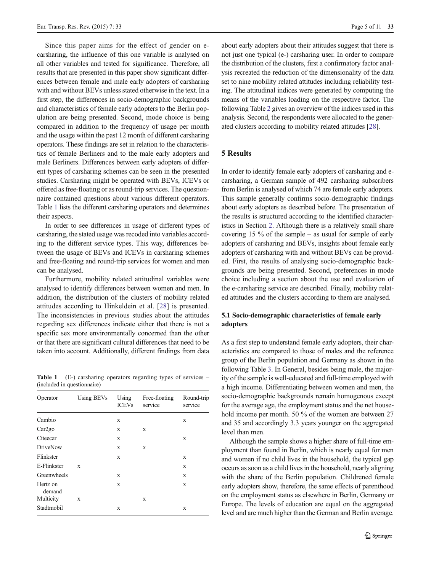<span id="page-4-0"></span>Since this paper aims for the effect of gender on ecarsharing, the influence of this one variable is analysed on all other variables and tested for significance. Therefore, all results that are presented in this paper show significant differences between female and male early adopters of carsharing with and without BEVs unless stated otherwise in the text. In a first step, the differences in socio-demographic backgrounds and characteristics of female early adopters to the Berlin population are being presented. Second, mode choice is being compared in addition to the frequency of usage per month and the usage within the past 12 month of different carsharing operators. These findings are set in relation to the characteristics of female Berliners and to the male early adopters and male Berliners. Differences between early adopters of different types of carsharing schemes can be seen in the presented studies. Carsharing might be operated with BEVs, ICEVs or offered as free-floating or as round-trip services. The questionnaire contained questions about various different operators. Table 1 lists the different carsharing operators and determines their aspects.

In order to see differences in usage of different types of carsharing, the stated usage was recoded into variables according to the different service types. This way, differences between the usage of BEVs and ICEVs in carsharing schemes and free-floating and round-trip services for women and men can be analysed.

Furthermore, mobility related attitudinal variables were analysed to identify differences between women and men. In addition, the distribution of the clusters of mobility related attitudes according to Hinkeldein et al. [\[28\]](#page-10-0) is presented. The inconsistencies in previous studies about the attitudes regarding sex differences indicate either that there is not a specific sex more environmentally concerned than the other or that there are significant cultural differences that need to be taken into account. Additionally, different findings from data

Table 1 (E-) carsharing operators regarding types of services -(included in questionnaire)

| Operator           | Using BEVs | Using<br><b>ICEVs</b> | Free-floating<br>service | Round-trip<br>service |
|--------------------|------------|-----------------------|--------------------------|-----------------------|
| Cambio             |            | X                     |                          | X                     |
| Car2go             |            | X                     | X                        |                       |
| Citeecar           |            | X                     |                          | X                     |
| DriveNow           |            | X                     | X                        |                       |
| Flinkster          |            | X                     |                          | X                     |
| E-Flinkster        | X          |                       |                          | X                     |
| Greenwheels        |            | X                     |                          | X                     |
| Hertz on<br>demand |            | X                     |                          | X                     |
| Multicity          | X          |                       | X                        |                       |
| Stadtmobil         |            | X                     |                          | X                     |

about early adopters about their attitudes suggest that there is not just one typical (e-) carsharing user. In order to compare the distribution of the clusters, first a confirmatory factor analysis recreated the reduction of the dimensionality of the data set to nine mobility related attitudes including reliability testing. The attitudinal indices were generated by computing the means of the variables loading on the respective factor. The following Table [2](#page-5-0) gives an overview of the indices used in this analysis. Second, the respondents were allocated to the generated clusters according to mobility related attitudes [\[28\]](#page-10-0).

#### 5 Results

In order to identify female early adopters of carsharing and ecarsharing, a German sample of 492 carsharing subscribers from Berlin is analysed of which 74 are female early adopters. This sample generally confirms socio-demographic findings about early adopters as described before. The presentation of the results is structured according to the identified characteristics in Section [2](#page-1-0). Although there is a relatively small share covering 15 % of the sample – as usual for sample of early adopters of carsharing and BEVs, insights about female early adopters of carsharing with and without BEVs can be provided. First, the results of analysing socio-demographic backgrounds are being presented. Second, preferences in mode choice including a section about the use and evaluation of the e-carsharing service are described. Finally, mobility related attitudes and the clusters according to them are analysed.

## 5.1 Socio-demographic characteristics of female early adopters

As a first step to understand female early adopters, their characteristics are compared to those of males and the reference group of the Berlin population and Germany as shown in the following Table [3.](#page-5-0) In General, besides being male, the majority of the sample is well-educated and full-time employed with a high income. Differentiating between women and men, the socio-demographic backgrounds remain homogenous except for the average age, the employment status and the net household income per month. 50 % of the women are between 27 and 35 and accordingly 3.3 years younger on the aggregated level than men.

Although the sample shows a higher share of full-time employment than found in Berlin, which is nearly equal for men and women if no child lives in the household, the typical gap occurs as soon as a child lives in the household, nearly aligning with the share of the Berlin population. Childrened female early adopters show, therefore, the same effects of parenthood on the employment status as elsewhere in Berlin, Germany or Europe. The levels of education are equal on the aggregated level and are much higher than the German and Berlin average.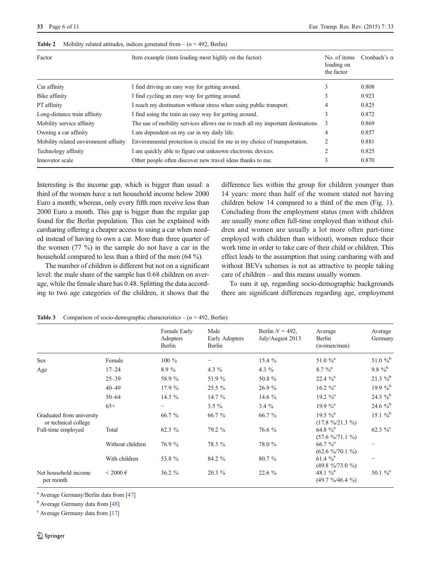| Factor                                | Item example (item loading most highly on the factor)                          | No. of items<br>loading on<br>the factor | Cronbach's $\alpha$ |
|---------------------------------------|--------------------------------------------------------------------------------|------------------------------------------|---------------------|
| Car affinity                          | I find driving an easy way for getting around.                                 | 3                                        | 0.808               |
| Bike affinity                         | I find cycling an easy way for getting around.                                 | 3                                        | 0.923               |
| PT affinity                           | I reach my destination without stress when using public transport.             | 4                                        | 0.825               |
| Long-distance train affinity          | I find using the train an easy way for getting around.                         | 3                                        | 0.872               |
| Mobility service affinity             | The use of mobility services allows me to reach all my important destinations. | 3                                        | 0.869               |
| Owning a car affinity                 | I am dependent on my car in my daily life.                                     | 4                                        | 0.857               |
| Mobility related environment affinity | Environmental protection is crucial for me in my choice of transportation.     | $\overline{2}$                           | 0.881               |
| Technology affinity                   | I am quickly able to figure out unknown electronic devices.                    | ∍                                        | 0.825               |
| Innovator scale                       | Other people often discover new travel ideas thanks to me.                     | 3                                        | 0.870               |

<span id="page-5-0"></span>**Table 2** Mobility related attitudes, indices generated from  $-(n = 492, \text{ Berlin})$ 

Interesting is the income gap, which is bigger than usual: a third of the women have a net household income below 2000 Euro a month; whereas, only every fifth men receive less than 2000 Euro a month. This gap is bigger than the regular gap found for the Berlin population. This can be explained with carsharing offering a cheaper access to using a car when needed instead of having to own a car. More than three quarter of the women  $(77 \%)$  in the sample do not have a car in the household compared to less than a third of the men (64 %).

The number of children is different but not on a significant level: the male share of the sample has 0.68 children on average, while the female share has 0.48. Splitting the data according to two age categories of the children, it shows that the difference lies within the group for children younger than 14 years: more than half of the women stated not having children below 14 compared to a third of the men (Fig. [1\)](#page-6-0). Concluding from the employment status (men with children are usually more often full-time employed than without children and women are usually a lot more often part-time employed with children than without), women reduce their work time in order to take care of their child or children. This effect leads to the assumption that using carsharing with and without BEVs schemes is not as attractive to people taking care of children – and this means usually women.

To sum it up, regarding socio-demographic backgrounds there are significant differences regarding age, employment

|                                                   |                  | Female Early<br>Adopters<br>Berlin | Male<br>Early Adopters<br>Berlin | Berlin $N = 492$ ,<br>July/August 2013 | Average<br>Berlin<br>(women/men)                                  | Average<br>Germany   |
|---------------------------------------------------|------------------|------------------------------------|----------------------------------|----------------------------------------|-------------------------------------------------------------------|----------------------|
| <b>Sex</b>                                        | Female           | $100\%$                            |                                  | $15.4\%$                               | 51.0 $\%$ <sup>a</sup>                                            | 51.0 $\%^{\text{b}}$ |
| Age                                               | $17 - 24$        | $8.9\%$                            | 4.3 $%$                          | 4.3 $%$                                | $8.7 \%$ <sup>a</sup>                                             | $9.8\%$              |
|                                                   | $25 - 39$        | 58.9 %                             | 51.9 %                           | 50.8 %                                 | 22.4 $\%$ <sup>a</sup>                                            | $21.3 \%$            |
|                                                   | $40 - 49$        | 17.9 %                             | $25.5\%$                         | 26.9 %                                 | $16.2 \%$ <sup>a</sup>                                            | 19.9 $\%^{\text{b}}$ |
|                                                   | $50 - 64$        | 14.3 %                             | 14.7 %                           | 14.6 $%$                               | $19.2 \%$ <sup>a</sup>                                            | 24.3 $\%^{\rm b}$    |
|                                                   | $65+$            |                                    | $3.5\%$                          | $3.4\%$                                | 19.9 $\%^a$                                                       | 24.6 $\%^{\rm b}$    |
| Graduated from university<br>or technical college |                  | 66.7 %                             | 66.7 %                           | 66.7 %                                 | 19.5 $\%^a$<br>$(17.8 \frac{9}{2}21.3 \frac{9}{6})$               | 15.1 % $b$           |
| Full-time employed                                | Total            | 62.3 %                             | 79.2 %                           | 76.6 %                                 | 64.8 $\%$ <sup>a</sup><br>$(57.6 \frac{9}{6} / 71.1 \frac{9}{6})$ | 62.3 $\%^c$          |
|                                                   | Without children | 76.9 %                             | 78.3 %                           | 78.0 %                                 | $66.7 \%$ <sup>a</sup><br>$(62.6 \frac{9}{6}/70.1 \frac{9}{6})$   |                      |
|                                                   | With children    | 53.8 %                             | 84.2 %                           | 80.7 %                                 | $61.4 \%$ <sup>a</sup><br>$(49.8 \frac{9}{73.0 \%})$              |                      |
| Net household income<br>per month                 | $\leq 2000 \in$  | $36.2 \%$                          | $20.3\%$                         | $22.6\%$                               | 48.1 $\%$ <sup>a</sup><br>$(49.7 \frac{9}{46.4} \frac{1}{6})$     | 50.1 $\%^a$          |

**Table 3** Comparison of socio-demographic characteristics –  $(n = 492, \text{ Berlin})$ 

<sup>a</sup> Average Germany/Berlin data from [\[47\]](#page-10-0)

<sup>b</sup> Average Germany data from [\[48\]](#page-10-0)

<sup>c</sup> Average Germany data from [\[17](#page-10-0)]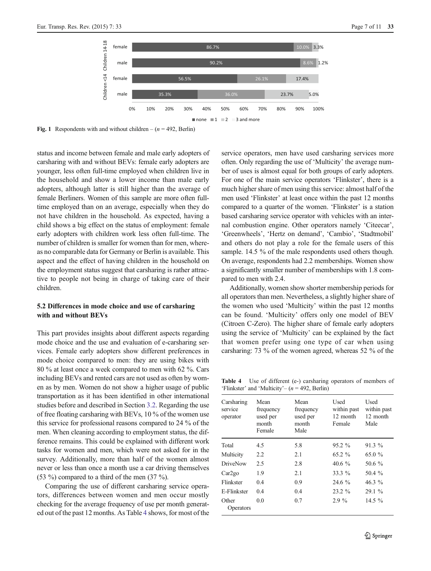<span id="page-6-0"></span>

Fig. 1 Respondents with and without children –  $(n = 492, \text{ Berlin})$ 

status and income between female and male early adopters of carsharing with and without BEVs: female early adopters are younger, less often full-time employed when children live in the household and show a lower income than male early adopters, although latter is still higher than the average of female Berliners. Women of this sample are more often fulltime employed than on an average, especially when they do not have children in the household. As expected, having a child shows a big effect on the status of employment: female early adopters with children work less often full-time. The number of children is smaller for women than for men, whereas no comparable data for Germany or Berlin is available. This aspect and the effect of having children in the household on the employment status suggest that carsharing is rather attractive to people not being in charge of taking care of their children.

## 5.2 Differences in mode choice and use of carsharing with and without BEVs

This part provides insights about different aspects regarding mode choice and the use and evaluation of e-carsharing services. Female early adopters show different preferences in mode choice compared to men: they are using bikes with 80 % at least once a week compared to men with 62 %. Cars including BEVs and rented cars are not used as often by women as by men. Women do not show a higher usage of public transportation as it has been identified in other international studies before and described in Section [3.2](#page-2-0). Regarding the use of free floating carsharing with BEVs, 10 % of the women use this service for professional reasons compared to 24 % of the men. When cleaning according to employment status, the difference remains. This could be explained with different work tasks for women and men, which were not asked for in the survey. Additionally, more than half of the women almost never or less than once a month use a car driving themselves (53 %) compared to a third of the men (37 %).

Comparing the use of different carsharing service operators, differences between women and men occur mostly checking for the average frequency of use per month generated out of the past 12 months. As Table 4 shows, for most of the service operators, men have used carsharing services more often. Only regarding the use of 'Multicity' the average number of uses is almost equal for both groups of early adopters. For one of the main service operators 'Flinkster', there is a much higher share of men using this service: almost half of the men used 'Flinkster' at least once within the past 12 months compared to a quarter of the women. 'Flinkster' is a station based carsharing service operator with vehicles with an internal combustion engine. Other operators namely 'Citeecar', 'Greenwheels', 'Hertz on demand', 'Cambio', 'Stadtmobil' and others do not play a role for the female users of this sample. 14.5 % of the male respondents used others though. On average, respondents had 2.2 memberships. Women show a significantly smaller number of memberships with 1.8 compared to men with 2.4.

Additionally, women show shorter membership periods for all operators than men. Nevertheless, a slightly higher share of the women who used 'Multicity' within the past 12 months can be found. 'Multicity' offers only one model of BEV (Citroen C-Zero). The higher share of female early adopters using the service of 'Multicity' can be explained by the fact that women prefer using one type of car when using carsharing: 73 % of the women agreed, whereas 52 % of the

Table 4 Use of different (e-) carsharing operators of members of 'Flinkster' and 'Multicity'–  $(n = 492, \text{ Berlin})$ 

| Carsharing<br>service<br>operator | Mean<br>frequency<br>used per<br>month<br>Female | Mean<br>frequency<br>used per<br>month<br>Male | Used<br>within past<br>12 month<br>Female | Used<br>within past<br>12 month<br>Male |
|-----------------------------------|--------------------------------------------------|------------------------------------------------|-------------------------------------------|-----------------------------------------|
| Total                             | 4.5                                              | 5.8                                            | $95.2\%$                                  | $91.3\%$                                |
| Multicity                         | 2.2                                              | 2.1                                            | $65.2 \%$                                 | 65.0 %                                  |
| DriveNow                          | 2.5                                              | 2.8                                            | $40.6\%$                                  | 50.6 %                                  |
| Car2go                            | 1.9                                              | 2.1                                            | $33.3\%$                                  | 50.4 %                                  |
| Flinkster                         | 0 <sub>4</sub>                                   | 0.9                                            | $24.6\%$                                  | 46.3%                                   |
| E-Flinkster                       | 0.4                                              | 0.4                                            | $23.2 \%$                                 | $29.1\%$                                |
| Other<br>Operators                | $0.0^{\circ}$                                    | 0.7                                            | $2.9\%$                                   | $14.5\%$                                |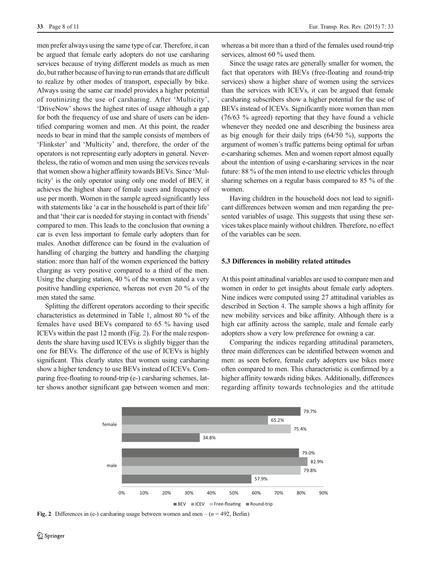men prefer always using the same type of car. Therefore, it can be argued that female early adopters do not use carsharing services because of trying different models as much as men do, but rather because of having to run errands that are difficult to realize by other modes of transport, especially by bike. Always using the same car model provides a higher potential of routinizing the use of carsharing. After 'Multicity', 'DriveNow' shows the highest rates of usage although a gap for both the frequency of use and share of users can be identified comparing women and men. At this point, the reader needs to bear in mind that the sample consists of members of 'Flinkster' and 'Multicity' and, therefore, the order of the operators is not representing early adopters in general. Nevertheless, the ratio of women and men using the services reveals that women show a higher affinity towards BEVs. Since 'Multicity' is the only operator using only one model of BEV, it achieves the highest share of female users and frequency of use per month. Women in the sample agreed significantly less with statements like 'a car in the household is part of their life' and that 'their car is needed for staying in contact with friends' compared to men. This leads to the conclusion that owning a car is even less important to female early adopters than for males. Another difference can be found in the evaluation of handling of charging the battery and handling the charging station: more than half of the women experienced the battery charging as very positive compared to a third of the men. Using the charging station, 40 % of the women stated a very positive handling experience, whereas not even 20 % of the men stated the same.

Splitting the different operators according to their specific characteristics as determined in Table [1](#page-4-0), almost 80 % of the females have used BEVs compared to 65 % having used ICEVs within the past 12 month (Fig. 2). For the male respondents the share having used ICEVs is slightly bigger than the one for BEVs. The difference of the use of ICEVs is highly significant. This clearly states that women using carsharing show a higher tendency to use BEVs instead of ICEVs. Comparing free-floating to round-trip (e-) carsharing schemes, latter shows another significant gap between women and men:

whereas a bit more than a third of the females used round-trip services, almost 60 % used them.

Since the usage rates are generally smaller for women, the fact that operators with BEVs (free-floating and round-trip services) show a higher share of women using the services than the services with ICEVs, it can be argued that female carsharing subscribers show a higher potential for the use of BEVs instead of ICEVs. Significantly more women than men (76/63 % agreed) reporting that they have found a vehicle whenever they needed one and describing the business area as big enough for their daily trips (64/50 %), supports the argument of women's traffic patterns being optimal for urban e-carsharing schemes. Men and women report almost equally about the intention of using e-carsharing services in the near future: 88 % of the men intend to use electric vehicles through sharing schemes on a regular basis compared to 85 % of the women.

Having children in the household does not lead to significant differences between women and men regarding the presented variables of usage. This suggests that using these services takes place mainly without children. Therefore, no effect of the variables can be seen.

#### 5.3 Differences in mobility related attitudes

At this point attitudinal variables are used to compare men and women in order to get insights about female early adopters. Nine indices were computed using 27 attitudinal variables as described in Section [4](#page-3-0). The sample shows a high affinity for new mobility services and bike affinity. Although there is a high car affinity across the sample, male and female early adopters show a very low preference for owning a car.

Comparing the indices regarding attitudinal parameters, three main differences can be identified between women and men: as seen before, female early adopters use bikes more often compared to men. This characteristic is confirmed by a higher affinity towards riding bikes. Additionally, differences regarding affinity towards technologies and the attitude



Fig. 2 Differences in (e-) carsharing usage between women and men –  $(n = 492, \text{ Berlin})$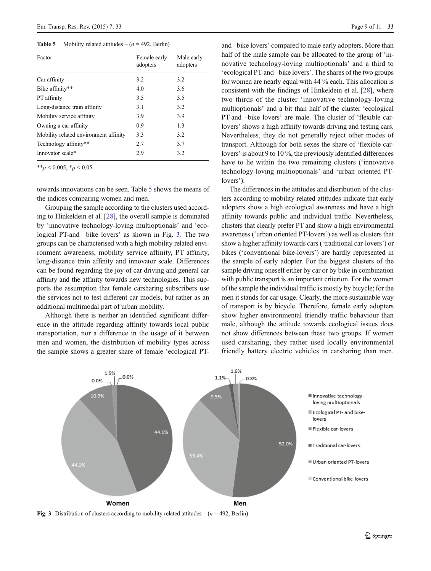#### **Table 5** Mobility related attitudes –  $(n = 492, \text{ Berlin})$

| Factor                                | Female early<br>adopters | Male early<br>adopters |
|---------------------------------------|--------------------------|------------------------|
| Car affinity                          | 3.2                      | 3.2                    |
| Bike affinity**                       | 4.0                      | 3.6                    |
| PT affinity                           | 3.5                      | 3.5                    |
| Long-distance train affinity          | 3.1                      | 3.2                    |
| Mobility service affinity             | 3.9                      | 3.9                    |
| Owning a car affinity                 | 0.9                      | 1.3                    |
| Mobility related environment affinity | 3.3                      | 3.2                    |
| Technology affinity**                 | 2.7                      | 3.7                    |
| Innovator scale*                      | 2.9                      | 3.2                    |

\*\* $p < 0.005$ ; \* $p < 0.05$ 

towards innovations can be seen. Table 5 shows the means of the indices comparing women and men.

Grouping the sample according to the clusters used according to Hinkeldein et al. [[28\]](#page-10-0), the overall sample is dominated by 'innovative technology-loving multioptionals' and 'ecological PT-and –bike lovers' as shown in Fig. 3. The two groups can be characterised with a high mobility related environment awareness, mobility service affinity, PT affinity, long-distance train affinity and innovator scale. Differences can be found regarding the joy of car driving and general car affinity and the affinity towards new technologies. This supports the assumption that female carsharing subscribers use the services not to test different car models, but rather as an additional multimodal part of urban mobility.

Although there is neither an identified significant difference in the attitude regarding affinity towards local public transportation, nor a difference in the usage of it between men and women, the distribution of mobility types across the sample shows a greater share of female 'ecological PT- and –bike lovers' compared to male early adopters. More than half of the male sample can be allocated to the group of 'innovative technology-loving multioptionals' and a third to 'ecological PT-and –bike lovers'. The shares of the two groups for women are nearly equal with 44 % each. This allocation is consistent with the findings of Hinkeldein et al. [[28\]](#page-10-0), where two thirds of the cluster 'innovative technology-loving multioptionals' and a bit than half of the cluster 'ecological PT-and –bike lovers' are male. The cluster of 'flexible carlovers' shows a high affinity towards driving and testing cars. Nevertheless, they do not generally reject other modes of transport. Although for both sexes the share of 'flexible carlovers' is about 9 to 10 %, the previously identified differences have to lie within the two remaining clusters ('innovative technology-loving multioptionals' and 'urban oriented PTlovers').

The differences in the attitudes and distribution of the clusters according to mobility related attitudes indicate that early adopters show a high ecological awareness and have a high affinity towards public and individual traffic. Nevertheless, clusters that clearly prefer PT and show a high environmental awareness ('urban oriented PT-lovers') as well as clusters that show a higher affinity towards cars ('traditional car-lovers') or bikes ('conventional bike-lovers') are hardly represented in the sample of early adopter. For the biggest clusters of the sample driving oneself either by car or by bike in combination with public transport is an important criterion. For the women of the sample the individual traffic is mostly by bicycle; for the men it stands for car usage. Clearly, the more sustainable way of transport is by bicycle. Therefore, female early adopters show higher environmental friendly traffic behaviour than male, although the attitude towards ecological issues does not show differences between these two groups. If women used carsharing, they rather used locally environmental friendly battery electric vehicles in carsharing than men.



Fig. 3 Distribution of clusters according to mobility related attitudes –  $(n = 492, \text{ Berlin})$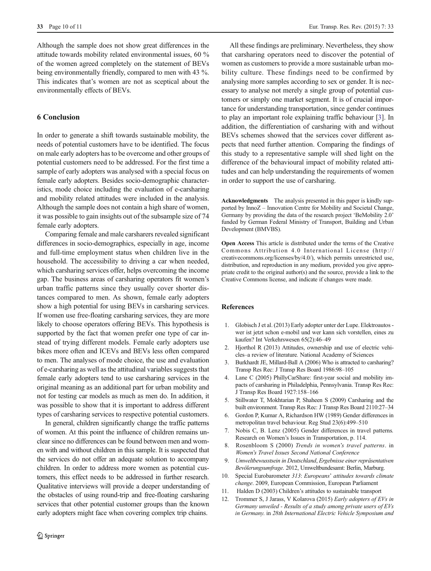<span id="page-9-0"></span>Although the sample does not show great differences in the attitude towards mobility related environmental issues, 60 % of the women agreed completely on the statement of BEVs being environmentally friendly, compared to men with 43 %. This indicates that's women are not as sceptical about the environmentally effects of BEVs.

### 6 Conclusion

In order to generate a shift towards sustainable mobility, the needs of potential customers have to be identified. The focus on male early adopters has to be overcome and other groups of potential customers need to be addressed. For the first time a sample of early adopters was analysed with a special focus on female early adopters. Besides socio-demographic characteristics, mode choice including the evaluation of e-carsharing and mobility related attitudes were included in the analysis. Although the sample does not contain a high share of women, it was possible to gain insights out of the subsample size of 74 female early adopters.

Comparing female and male carsharers revealed significant differences in socio-demographics, especially in age, income and full-time employment status when children live in the household. The accessibility to driving a car when needed, which carsharing services offer, helps overcoming the income gap. The business areas of carsharing operators fit women's urban traffic patterns since they usually cover shorter distances compared to men. As shown, female early adopters show a high potential for using BEVs in carsharing services. If women use free-floating carsharing services, they are more likely to choose operators offering BEVs. This hypothesis is supported by the fact that women prefer one type of car instead of trying different models. Female early adopters use bikes more often and ICEVs and BEVs less often compared to men. The analyses of mode choice, the use and evaluation of e-carsharing as well as the attitudinal variables suggests that female early adopters tend to use carsharing services in the original meaning as an additional part for urban mobility and not for testing car models as much as men do. In addition, it was possible to show that it is important to address different types of carsharing services to respective potential customers.

In general, children significantly change the traffic patterns of women. At this point the influence of children remains unclear since no differences can be found between men and women with and without children in this sample. It is suspected that the services do not offer an adequate solution to accompany children. In order to address more women as potential customers, this effect needs to be addressed in further research. Qualitative interviews will provide a deeper understanding of the obstacles of using round-trip and free-floating carsharing services that other potential customer groups than the known early adopters might face when covering complex trip chains.

All these findings are preliminary. Nevertheless, they show that carsharing operators need to discover the potential of women as customers to provide a more sustainable urban mobility culture. These findings need to be confirmed by analysing more samples according to sex or gender. It is necessary to analyse not merely a single group of potential customers or simply one market segment. It is of crucial importance for understanding transportation, since gender continues to play an important role explaining traffic behaviour [3]. In addition, the differentiation of carsharing with and without BEVs schemes showed that the services cover different aspects that need further attention. Comparing the findings of this study to a representative sample will shed light on the difference of the behavioural impact of mobility related attitudes and can help understanding the requirements of women in order to support the use of carsharing.

Acknowledgments The analysis presented in this paper is kindly supported by InnoZ – Innovation Centre for Mobility and Societal Change, Germany by providing the data of the research project 'BeMobility 2.0' funded by German Federal Ministry of Transport, Building and Urban Development (BMVBS).

Open Access This article is distributed under the terms of the Creative Commons Attribution 4.0 International License (http:// creativecommons.org/licenses/by/4.0/), which permits unrestricted use, distribution, and reproduction in any medium, provided you give appropriate credit to the original author(s) and the source, provide a link to the Creative Commons license, and indicate if changes were made.

#### References

- 1. Globisch J et al. (2013) Early adopter unter der Lupe. Elektroautos wer ist jetzt schon e-mobil und wer kann sich vorstellen, eines zu kaufen? Int Verkehrswesen 65(2):46–49
- 2. Hjorthol R (2013) Attitudes, ownership and use of electric vehicles–a review of literature. National Academy of Sciences
- 3. Burkhardt JE, Millard-Ball A (2006) Who is attracted to carsharing? Transp Res Rec: J Transp Res Board 1986:98–105
- 4. Lane C (2005) PhillyCarShare: first-year social and mobility impacts of carsharing in Philadelphia, Pennsylvania. Transp Res Rec: J Transp Res Board 1927:158–166
- 5. Stillwater T, Mokhtarian P, Shaheen S (2009) Carsharing and the built environment. Transp Res Rec: J Transp Res Board 2110:27–34
- 6. Gordon P, Kumar A, Richardson HW (1989) Gender differences in metropolitan travel behaviour. Reg Stud 23(6):499–510
- 7. Nobis C, B. Lenz (2005) Gender differences in travel patterns. Research on Women's Issues in Transportation, p. 114.
- 8. Rosenbloom S (2000) Trends in women's travel patterns. in Women's Travel Issues Second National Conference
- 9. Umweltbewusstsein in Deutschland, Ergebnisse einer repräsentativen Bevölerungsumfrage. 2012, Umweltbundesamt: Berlin, Marburg.
- 10. Special Eurobarometer 313: Europeans' attitudes towards climate change. 2009, European Commission, European Parliament
- 11. Halden D (2003) Children's attitudes to sustainable transport
- 12. Trommer S, J Jarass, V Kolarova (2015) Early adopters of EVs in Germany unveiled - Results of a study among private users of EVs in Germany. in 28th International Electric Vehicle Symposium and